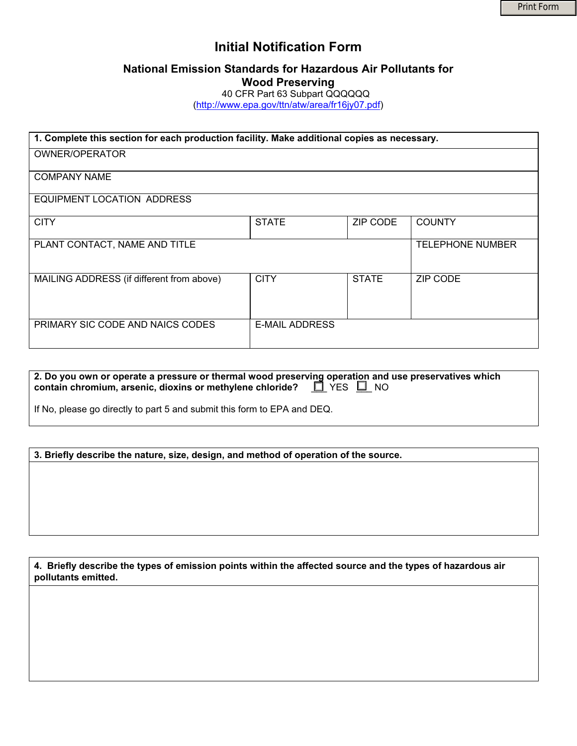# **Initial Notification Form**

# **National Emission Standards for Hazardous Air Pollutants for Wood Preserving**

40 CFR Part 63 Subpart QQQQQQ

(http://www.epa.gov/ttn/atw/area/fr16jy07.pdf)

| 1. Complete this section for each production facility. Make additional copies as necessary. |                       |              |                         |  |
|---------------------------------------------------------------------------------------------|-----------------------|--------------|-------------------------|--|
| <b>OWNER/OPERATOR</b>                                                                       |                       |              |                         |  |
| <b>COMPANY NAME</b>                                                                         |                       |              |                         |  |
| EQUIPMENT LOCATION ADDRESS                                                                  |                       |              |                         |  |
| <b>CITY</b>                                                                                 | <b>STATE</b>          | ZIP CODE     | <b>COUNTY</b>           |  |
| PLANT CONTACT, NAME AND TITLE                                                               |                       |              | <b>TELEPHONE NUMBER</b> |  |
| MAILING ADDRESS (if different from above)                                                   | <b>CITY</b>           | <b>STATE</b> | <b>ZIP CODE</b>         |  |
| PRIMARY SIC CODE AND NAICS CODES                                                            | <b>E-MAIL ADDRESS</b> |              |                         |  |

| 2. Do you own or operate a pressure or thermal wood preserving operation and use preservatives which |  |
|------------------------------------------------------------------------------------------------------|--|
| contain chromium, arsenic, dioxins or methylene chloride? $\Box$ YES $\Box$ NO                       |  |

If No, please go directly to part 5 and submit this form to EPA and DEQ.

**3. Briefly describe the nature, size, design, and method of operation of the source.** 

**4. Briefly describe the types of emission points within the affected source and the types of hazardous air pollutants emitted.**